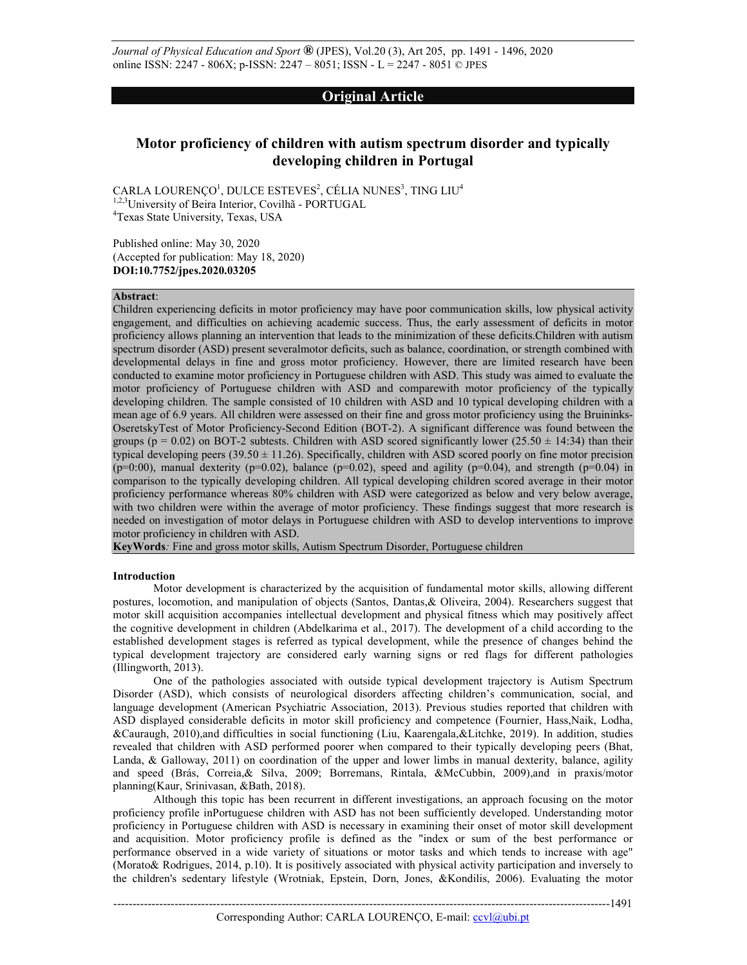*Journal of Physical Education and Sport* **®** (JPES), Vol.20 (3), Art 205, pp. 1491 - 1496, 2020 online ISSN: 2247 - 806X; p-ISSN: 2247 – 8051; ISSN - L = 2247 - 8051 © JPES

# **Original Article**

# **Motor proficiency of children with autism spectrum disorder and typically developing children in Portugal**

CARLA LOURENÇO $^{\rm l}$ , DULCE ESTEVES $^{\rm 2}$ , CÉLIA NUNES $^{\rm 3}$ , TING LIU $^{\rm 4}$ 1,2,3University of Beira Interior, Covilhã - PORTUGAL 4 Texas State University, Texas, USA

Published online: May 30, 2020 (Accepted for publication: May 18, 2020) **DOI:10.7752/jpes.2020.03205** 

## **Abstract**:

Children experiencing deficits in motor proficiency may have poor communication skills, low physical activity engagement, and difficulties on achieving academic success. Thus, the early assessment of deficits in motor proficiency allows planning an intervention that leads to the minimization of these deficits.Children with autism spectrum disorder (ASD) present severalmotor deficits, such as balance, coordination, or strength combined with developmental delays in fine and gross motor proficiency. However, there are limited research have been conducted to examine motor proficiency in Portuguese children with ASD. This study was aimed to evaluate the motor proficiency of Portuguese children with ASD and comparewith motor proficiency of the typically developing children. The sample consisted of 10 children with ASD and 10 typical developing children with a mean age of 6.9 years. All children were assessed on their fine and gross motor proficiency using the Bruininks-OseretskyTest of Motor Proficiency-Second Edition (BOT-2). A significant difference was found between the groups ( $p = 0.02$ ) on BOT-2 subtests. Children with ASD scored significantly lower (25.50  $\pm$  14:34) than their typical developing peers  $(39.50 \pm 11.26)$ . Specifically, children with ASD scored poorly on fine motor precision (p=0:00), manual dexterity (p=0.02), balance (p=0.02), speed and agility (p=0.04), and strength (p=0.04) in comparison to the typically developing children. All typical developing children scored average in their motor proficiency performance whereas 80% children with ASD were categorized as below and very below average, with two children were within the average of motor proficiency. These findings suggest that more research is needed on investigation of motor delays in Portuguese children with ASD to develop interventions to improve motor proficiency in children with ASD.

**KeyWords***:* Fine and gross motor skills, Autism Spectrum Disorder, Portuguese children

# **Introduction**

Motor development is characterized by the acquisition of fundamental motor skills, allowing different postures, locomotion, and manipulation of objects (Santos, Dantas,& Oliveira, 2004). Researchers suggest that motor skill acquisition accompanies intellectual development and physical fitness which may positively affect the cognitive development in children (Abdelkarima et al., 2017). The development of a child according to the established development stages is referred as typical development, while the presence of changes behind the typical development trajectory are considered early warning signs or red flags for different pathologies (Illingworth, 2013).

One of the pathologies associated with outside typical development trajectory is Autism Spectrum Disorder (ASD), which consists of neurological disorders affecting children's communication, social, and language development (American Psychiatric Association, 2013). Previous studies reported that children with ASD displayed considerable deficits in motor skill proficiency and competence (Fournier, Hass,Naik, Lodha, &Cauraugh, 2010),and difficulties in social functioning (Liu, Kaarengala,&Litchke, 2019). In addition, studies revealed that children with ASD performed poorer when compared to their typically developing peers (Bhat, Landa, & Galloway, 2011) on coordination of the upper and lower limbs in manual dexterity, balance, agility and speed (Brás, Correia,& Silva, 2009; Borremans, Rintala, &McCubbin, 2009),and in praxis/motor planning(Kaur, Srinivasan, &Bath, 2018).

Although this topic has been recurrent in different investigations, an approach focusing on the motor proficiency profile inPortuguese children with ASD has not been sufficiently developed. Understanding motor proficiency in Portuguese children with ASD is necessary in examining their onset of motor skill development and acquisition. Motor proficiency profile is defined as the "index or sum of the best performance or performance observed in a wide variety of situations or motor tasks and which tends to increase with age" (Morato& Rodrigues, 2014, p.10). It is positively associated with physical activity participation and inversely to the children's sedentary lifestyle (Wrotniak, Epstein, Dorn, Jones, &Kondilis, 2006). Evaluating the motor

Corresponding Author: CARLA LOURENÇO, E-mail: ccvl@ubi.pt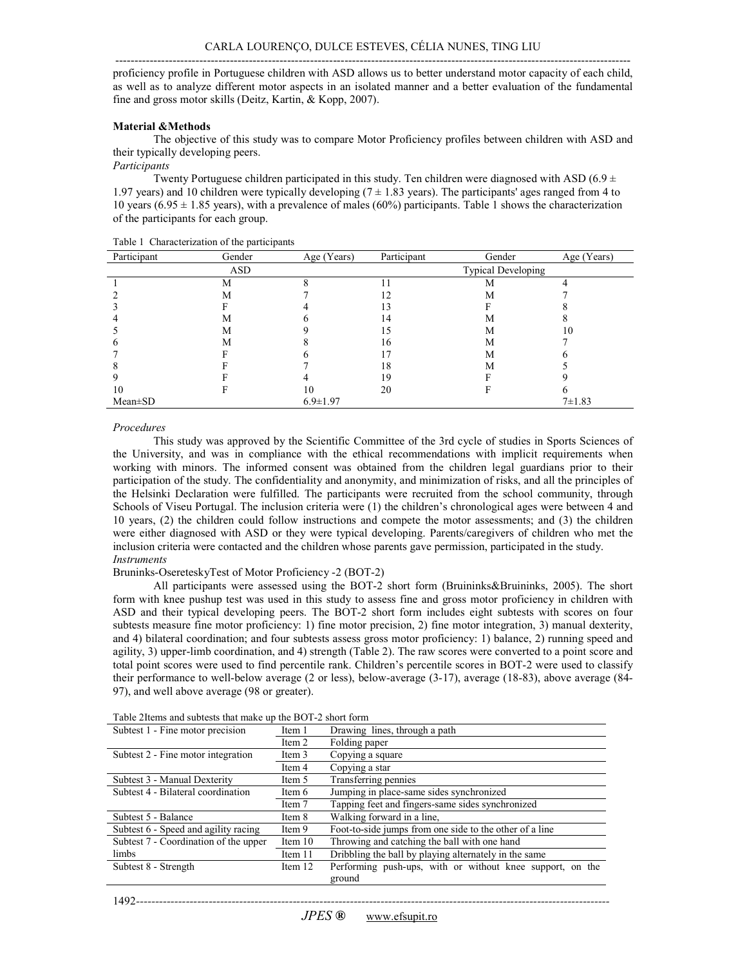-------------------------------------------------------------------------------------------------------------------------------------- proficiency profile in Portuguese children with ASD allows us to better understand motor capacity of each child, as well as to analyze different motor aspects in an isolated manner and a better evaluation of the fundamental fine and gross motor skills (Deitz, Kartin, & Kopp, 2007).

# **Material &Methods**

 The objective of this study was to compare Motor Proficiency profiles between children with ASD and their typically developing peers.

# *Participants*

Twenty Portuguese children participated in this study. Ten children were diagnosed with ASD (6.9  $\pm$ 1.97 years) and 10 children were typically developing ( $7 \pm 1.83$  years). The participants' ages ranged from 4 to 10 years (6.95  $\pm$  1.85 years), with a prevalence of males (60%) participants. Table 1 shows the characterization of the participants for each group.

| Participant | Gender | Age (Years)    | Participant | Gender                    | Age (Years)  |
|-------------|--------|----------------|-------------|---------------------------|--------------|
|             | ASD    |                |             | <b>Typical Developing</b> |              |
|             | М      |                |             | М                         |              |
|             | М      |                | 12          | М                         |              |
|             |        |                | 13          |                           |              |
|             | М      |                | 14          | М                         |              |
|             | М      |                |             | М                         | 10           |
|             | М      |                | 16          | М                         |              |
|             |        |                |             | М                         |              |
|             |        |                | 18          | М                         |              |
|             |        |                | 19          |                           |              |
| 10          |        | 10             | 20          |                           |              |
| Mean±SD     |        | $6.9 \pm 1.97$ |             |                           | $7 \pm 1.83$ |

Table 1 Characterization of the participants

# *Procedures*

This study was approved by the Scientific Committee of the 3rd cycle of studies in Sports Sciences of the University, and was in compliance with the ethical recommendations with implicit requirements when working with minors. The informed consent was obtained from the children legal guardians prior to their participation of the study. The confidentiality and anonymity, and minimization of risks, and all the principles of the Helsinki Declaration were fulfilled. The participants were recruited from the school community, through Schools of Viseu Portugal. The inclusion criteria were (1) the children's chronological ages were between 4 and 10 years, (2) the children could follow instructions and compete the motor assessments; and (3) the children were either diagnosed with ASD or they were typical developing. Parents/caregivers of children who met the inclusion criteria were contacted and the children whose parents gave permission, participated in the study. *Instruments* 

# Bruninks-OsereteskyTest of Motor Proficiency -2 (BOT-2)

All participants were assessed using the BOT-2 short form (Bruininks&Bruininks, 2005). The short form with knee pushup test was used in this study to assess fine and gross motor proficiency in children with ASD and their typical developing peers. The BOT-2 short form includes eight subtests with scores on four subtests measure fine motor proficiency: 1) fine motor precision, 2) fine motor integration, 3) manual dexterity, and 4) bilateral coordination; and four subtests assess gross motor proficiency: 1) balance, 2) running speed and agility, 3) upper-limb coordination, and 4) strength (Table 2). The raw scores were converted to a point score and total point scores were used to find percentile rank. Children's percentile scores in BOT-2 were used to classify their performance to well-below average (2 or less), below-average (3-17), average (18-83), above average (84- 97), and well above average (98 or greater).

| Subtest 1 - Fine motor precision                 | Item 1  | Drawing lines, through a path                             |  |
|--------------------------------------------------|---------|-----------------------------------------------------------|--|
|                                                  | Item 2  | Folding paper                                             |  |
| Subtest 2 - Fine motor integration               | Item 3  | Copying a square                                          |  |
|                                                  | Item 4  | Copying a star                                            |  |
| Subtest 3 - Manual Dexterity                     | Item 5  | Transferring pennies                                      |  |
| Subtest 4 - Bilateral coordination               | Item 6  | Jumping in place-same sides synchronized                  |  |
|                                                  | Item 7  | Tapping feet and fingers-same sides synchronized          |  |
| Subtest 5 - Balance                              | Item 8  | Walking forward in a line,                                |  |
| Subtest 6 - Speed and agility racing             | Item 9  | Foot-to-side jumps from one side to the other of a line   |  |
| Subtest 7 - Coordination of the upper<br>Item 10 |         | Throwing and catching the ball with one hand              |  |
| limbs                                            | Item 11 | Dribbling the ball by playing alternately in the same     |  |
| Subtest 8 - Strength                             | Item 12 | Performing push-ups, with or without knee support, on the |  |
|                                                  |         | ground                                                    |  |

Table 2Items and subtests that make up the BOT-2 short form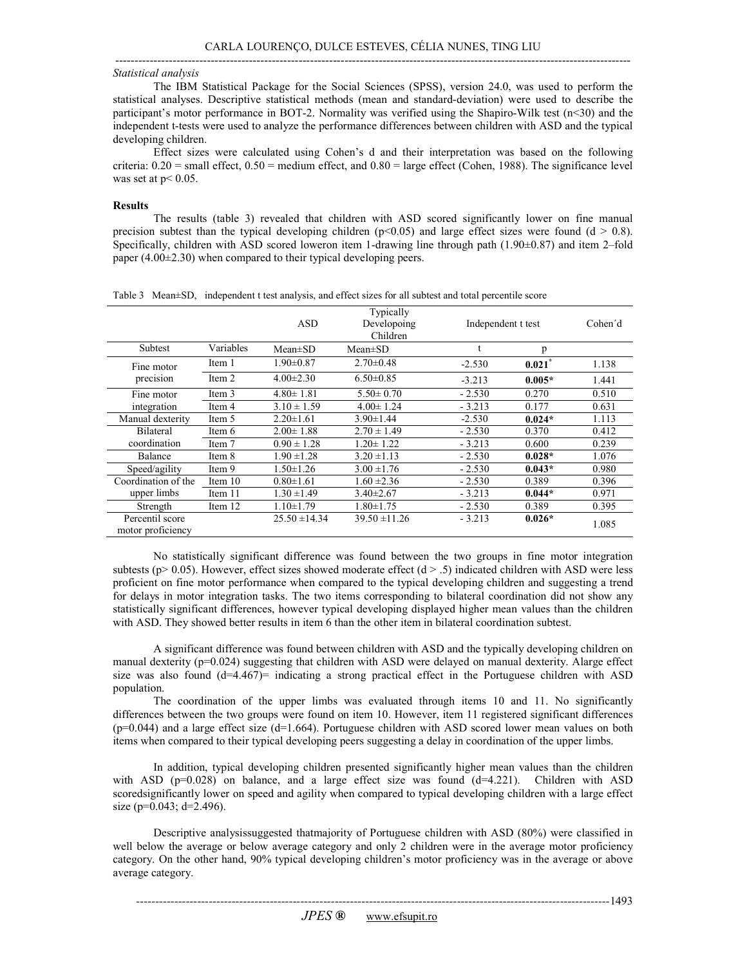#### --------------------------------------------------------------------------------------------------------------------------------------- *Statistical analysis*

The IBM Statistical Package for the Social Sciences (SPSS), version 24.0, was used to perform the statistical analyses. Descriptive statistical methods (mean and standard-deviation) were used to describe the participant's motor performance in BOT-2. Normality was verified using the Shapiro-Wilk test (n<30) and the independent t-tests were used to analyze the performance differences between children with ASD and the typical developing children.

Effect sizes were calculated using Cohen's d and their interpretation was based on the following criteria: 0.20 = small effect, 0.50 = medium effect, and 0.80 = large effect (Cohen, 1988). The significance level was set at  $p< 0.05$ .

#### **Results**

The results (table 3) revealed that children with ASD scored significantly lower on fine manual precision subtest than the typical developing children ( $p<0.05$ ) and large effect sizes were found (d  $> 0.8$ ). Specifically, children with ASD scored loweron item 1-drawing line through path  $(1.90\pm0.87)$  and item 2–fold paper (4.00±2.30) when compared to their typical developing peers.

|                                      |           | <b>ASD</b>        | Typically<br>Developoing<br>Children | Independent t test |                      | Cohen'd |
|--------------------------------------|-----------|-------------------|--------------------------------------|--------------------|----------------------|---------|
| Subtest                              | Variables | $Mean \pm SD$     | $Mean \pm SD$                        |                    | p                    |         |
| Fine motor<br>precision              | Item 1    | $1.90 \pm 0.87$   | $2.70 \pm 0.48$                      | $-2.530$           | $0.021$ <sup>*</sup> | 1.138   |
|                                      | Item 2    | $4.00 \pm 2.30$   | $6.50 \pm 0.85$                      | $-3.213$           | $0.005*$             | 1.441   |
| Fine motor                           | Item 3    | $4.80 \pm 1.81$   | $5.50 \pm 0.70$                      | $-2.530$           | 0.270                | 0.510   |
| integration                          | Item 4    | $3.10 \pm 1.59$   | $4.00 \pm 1.24$                      | $-3.213$           | 0.177                | 0.631   |
| Manual dexterity                     | Item 5    | $2.20 \pm 1.61$   | $3.90 \pm 1.44$                      | $-2.530$           | $0.024*$             | 1.113   |
| <b>Bilateral</b>                     | Item 6    | $2.00 \pm 1.88$   | $2.70 \pm 1.49$                      | $-2.530$           | 0.370                | 0.412   |
| coordination                         | Item 7    | $0.90 \pm 1.28$   | $1.20 \pm 1.22$                      | $-3.213$           | 0.600                | 0.239   |
| Balance                              | Item 8    | $1.90 \pm 1.28$   | $3.20 \pm 1.13$                      | $-2.530$           | $0.028*$             | 1.076   |
| Speed/agility                        | Item 9    | $1.50 \pm 1.26$   | $3.00 \pm 1.76$                      | $-2.530$           | $0.043*$             | 0.980   |
| Coordination of the                  | Item $10$ | $0.80 \pm 1.61$   | $1.60 \pm 2.36$                      | $-2.530$           | 0.389                | 0.396   |
| upper limbs                          | Item 11   | $1.30 \pm 1.49$   | $3.40 \pm 2.67$                      | $-3.213$           | $0.044*$             | 0.971   |
| Strength                             | Item 12   | $1.10 \pm 1.79$   | $1.80 \pm 1.75$                      | $-2.530$           | 0.389                | 0.395   |
| Percentil score<br>motor proficiency |           | $25.50 \pm 14.34$ | $39.50 \pm 11.26$                    | $-3.213$           | $0.026*$             | 1.085   |

Table 3 Mean±SD, independent t test analysis, and effect sizes for all subtest and total percentile score

No statistically significant difference was found between the two groups in fine motor integration subtests ( $p > 0.05$ ). However, effect sizes showed moderate effect ( $d > .5$ ) indicated children with ASD were less proficient on fine motor performance when compared to the typical developing children and suggesting a trend for delays in motor integration tasks. The two items corresponding to bilateral coordination did not show any statistically significant differences, however typical developing displayed higher mean values than the children with ASD. They showed better results in item 6 than the other item in bilateral coordination subtest.

A significant difference was found between children with ASD and the typically developing children on manual dexterity (p=0.024) suggesting that children with ASD were delayed on manual dexterity. Alarge effect size was also found  $(d=4.467)$ = indicating a strong practical effect in the Portuguese children with ASD population.

The coordination of the upper limbs was evaluated through items 10 and 11. No significantly differences between the two groups were found on item 10. However, item 11 registered significant differences  $(p=0.044)$  and a large effect size (d=1.664). Portuguese children with ASD scored lower mean values on both items when compared to their typical developing peers suggesting a delay in coordination of the upper limbs.

In addition, typical developing children presented significantly higher mean values than the children with ASD ( $p=0.028$ ) on balance, and a large effect size was found ( $d=4.221$ ). Children with ASD scoredsignificantly lower on speed and agility when compared to typical developing children with a large effect size ( $p=0.043$ ; d=2.496).

Descriptive analysissuggested thatmajority of Portuguese children with ASD (80%) were classified in well below the average or below average category and only 2 children were in the average motor proficiency category. On the other hand, 90% typical developing children's motor proficiency was in the average or above average category.

*----------------------------------------------------------------------------------------------------------------------------*  1493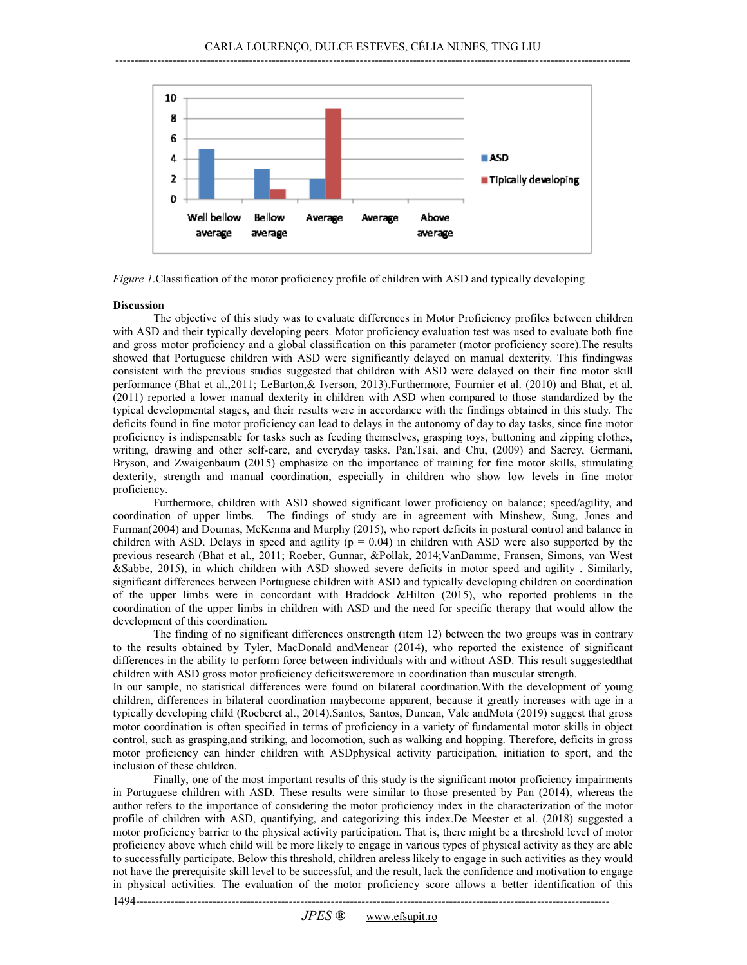

*Figure 1*.Classification of the motor proficiency profile of children with ASD and typically developing

## **Discussion**

1494-------

The objective of this study was to evaluate differences in Motor Proficiency profiles between children with ASD and their typically developing peers. Motor proficiency evaluation test was used to evaluate both fine and gross motor proficiency and a global classification on this parameter (motor proficiency score).The results showed that Portuguese children with ASD were significantly delayed on manual dexterity. This findingwas consistent with the previous studies suggested that children with ASD were delayed on their fine motor skill performance (Bhat et al.,2011; LeBarton,& Iverson, 2013).Furthermore, Fournier et al. (2010) and Bhat, et al. (2011) reported a lower manual dexterity in children with ASD when compared to those standardized by the typical developmental stages, and their results were in accordance with the findings obtained in this study. The deficits found in fine motor proficiency can lead to delays in the autonomy of day to day tasks, since fine motor proficiency is indispensable for tasks such as feeding themselves, grasping toys, buttoning and zipping clothes, writing, drawing and other self-care, and everyday tasks. Pan,Tsai, and Chu, (2009) and Sacrey, Germani, Bryson, and Zwaigenbaum (2015) emphasize on the importance of training for fine motor skills, stimulating dexterity, strength and manual coordination, especially in children who show low levels in fine motor proficiency.

Furthermore, children with ASD showed significant lower proficiency on balance; speed/agility, and coordination of upper limbs. The findings of study are in agreement with Minshew, Sung, Jones and Furman(2004) and Doumas, McKenna and Murphy (2015), who report deficits in postural control and balance in children with ASD. Delays in speed and agility ( $p = 0.04$ ) in children with ASD were also supported by the previous research (Bhat et al., 2011; Roeber, Gunnar, &Pollak, 2014;VanDamme, Fransen, Simons, van West &Sabbe, 2015), in which children with ASD showed severe deficits in motor speed and agility . Similarly, significant differences between Portuguese children with ASD and typically developing children on coordination of the upper limbs were in concordant with Braddock &Hilton (2015), who reported problems in the coordination of the upper limbs in children with ASD and the need for specific therapy that would allow the development of this coordination.

The finding of no significant differences onstrength (item 12) between the two groups was in contrary to the results obtained by Tyler, MacDonald andMenear (2014), who reported the existence of significant differences in the ability to perform force between individuals with and without ASD. This result suggestedthat children with ASD gross motor proficiency deficitsweremore in coordination than muscular strength.

In our sample, no statistical differences were found on bilateral coordination.With the development of young children, differences in bilateral coordination maybecome apparent, because it greatly increases with age in a typically developing child (Roeberet al., 2014).Santos, Santos, Duncan, Vale andMota (2019) suggest that gross motor coordination is often specified in terms of proficiency in a variety of fundamental motor skills in object control, such as grasping,and striking, and locomotion, such as walking and hopping. Therefore, deficits in gross motor proficiency can hinder children with ASDphysical activity participation, initiation to sport, and the inclusion of these children.

Finally, one of the most important results of this study is the significant motor proficiency impairments in Portuguese children with ASD. These results were similar to those presented by Pan (2014), whereas the author refers to the importance of considering the motor proficiency index in the characterization of the motor profile of children with ASD, quantifying, and categorizing this index.De Meester et al. (2018) suggested a motor proficiency barrier to the physical activity participation. That is, there might be a threshold level of motor proficiency above which child will be more likely to engage in various types of physical activity as they are able to successfully participate. Below this threshold, children areless likely to engage in such activities as they would not have the prerequisite skill level to be successful, and the result, lack the confidence and motivation to engage in physical activities. The evaluation of the motor proficiency score allows a better identification of this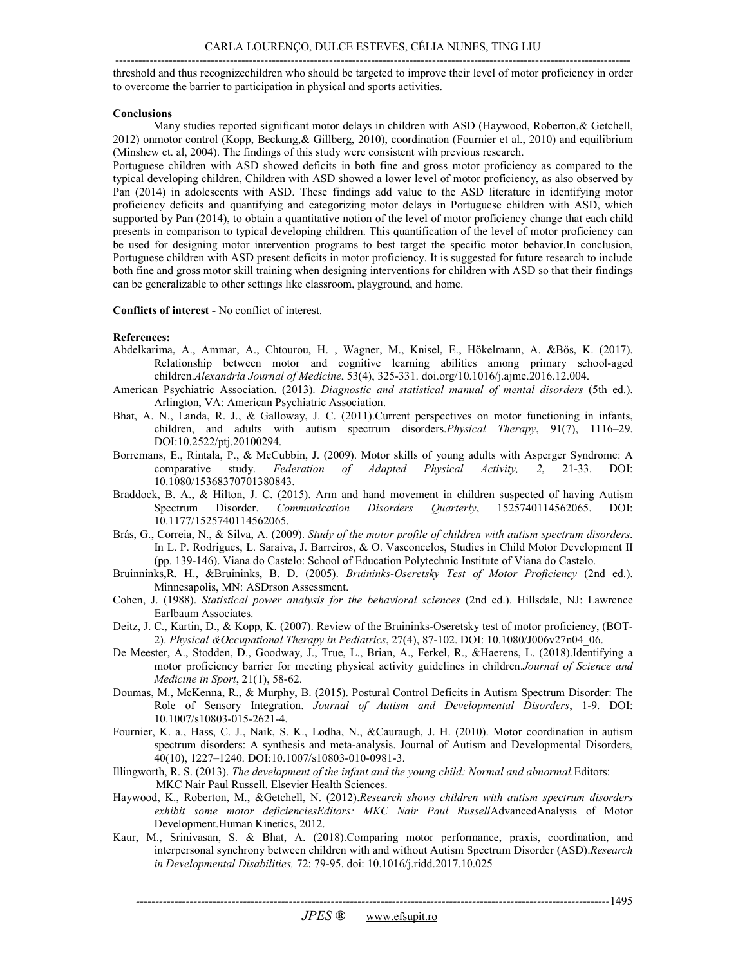---------------------------------------------------------------------------------------------------------------------------------------

threshold and thus recognizechildren who should be targeted to improve their level of motor proficiency in order to overcome the barrier to participation in physical and sports activities.

# **Conclusions**

Many studies reported significant motor delays in children with ASD (Haywood, Roberton,& Getchell, 2012) onmotor control (Kopp, Beckung,& Gillberg, 2010), coordination (Fournier et al., 2010) and equilibrium (Minshew et. al, 2004). The findings of this study were consistent with previous research.

Portuguese children with ASD showed deficits in both fine and gross motor proficiency as compared to the typical developing children, Children with ASD showed a lower level of motor proficiency, as also observed by Pan (2014) in adolescents with ASD. These findings add value to the ASD literature in identifying motor proficiency deficits and quantifying and categorizing motor delays in Portuguese children with ASD, which supported by Pan (2014), to obtain a quantitative notion of the level of motor proficiency change that each child presents in comparison to typical developing children. This quantification of the level of motor proficiency can be used for designing motor intervention programs to best target the specific motor behavior.In conclusion, Portuguese children with ASD present deficits in motor proficiency. It is suggested for future research to include both fine and gross motor skill training when designing interventions for children with ASD so that their findings can be generalizable to other settings like classroom, playground, and home.

# **Conflicts of interest -** No conflict of interest.

# **References:**

- Abdelkarima, A., Ammar, A., Chtourou, H. , Wagner, M., Knisel, E., Hökelmann, A. &Bös, K. (2017). Relationship between motor and cognitive learning abilities among primary school-aged children.*Alexandria Journal of Medicine*, 53(4), 325-331. doi.org/10.1016/j.ajme.2016.12.004.
- American Psychiatric Association. (2013). *Diagnostic and statistical manual of mental disorders* (5th ed.). Arlington, VA: American Psychiatric Association.
- Bhat, A. N., Landa, R. J., & Galloway, J. C. (2011).Current perspectives on motor functioning in infants, children, and adults with autism spectrum disorders.*Physical Therapy*, 91(7), 1116–29. DOI:10.2522/ptj.20100294.
- Borremans, E., Rintala, P., & McCubbin, J. (2009). Motor skills of young adults with Asperger Syndrome: A comparative study. *Federation of Adapted Physical Activity, 2*, 21-33. DOI: 10.1080/15368370701380843.
- Braddock, B. A., & Hilton, J. C. (2015). Arm and hand movement in children suspected of having Autism Spectrum Disorder. *Communication Disorders Quarterly*, 1525740114562065. DOI: 10.1177/1525740114562065.
- Brás, G., Correia, N., & Silva, A. (2009). *Study of the motor profile of children with autism spectrum disorders*. In L. P. Rodrigues, L. Saraiva, J. Barreiros, & O. Vasconcelos, Studies in Child Motor Development II (pp. 139-146). Viana do Castelo: School of Education Polytechnic Institute of Viana do Castelo.
- Bruinninks,R. H., &Bruininks, B. D. (2005). *Bruininks-Oseretsky Test of Motor Proficiency* (2nd ed.). Minnesapolis, MN: ASDrson Assessment.
- Cohen, J. (1988). *Statistical power analysis for the behavioral sciences* (2nd ed.). Hillsdale, NJ: Lawrence Earlbaum Associates.
- Deitz, J. C., Kartin, D., & Kopp, K. (2007). Review of the Bruininks-Oseretsky test of motor proficiency, (BOT-2). *Physical &Occupational Therapy in Pediatrics*, 27(4), 87-102. DOI: 10.1080/J006v27n04\_06.
- De Meester, A., Stodden, D., Goodway, J., True, L., Brian, A., Ferkel, R., &Haerens, L. (2018).Identifying a motor proficiency barrier for meeting physical activity guidelines in children.*Journal of Science and Medicine in Sport*, 21(1), 58-62.
- Doumas, M., McKenna, R., & Murphy, B. (2015). Postural Control Deficits in Autism Spectrum Disorder: The Role of Sensory Integration. *Journal of Autism and Developmental Disorders*, 1-9. DOI: 10.1007/s10803-015-2621-4.
- Fournier, K. a., Hass, C. J., Naik, S. K., Lodha, N., &Cauraugh, J. H. (2010). Motor coordination in autism spectrum disorders: A synthesis and meta-analysis. Journal of Autism and Developmental Disorders, 40(10), 1227–1240. DOI:10.1007/s10803-010-0981-3.
- Illingworth, R. S. (2013). *The development of the infant and the young child: Normal and abnormal.*Editors: MKC Nair Paul Russell. Elsevier Health Sciences.
- Haywood, K., Roberton, M., &Getchell, N. (2012).*Research shows children with autism spectrum disorders exhibit some motor deficienciesEditors: MKC Nair Paul Russell*AdvancedAnalysis of Motor Development.Human Kinetics, 2012.
- Kaur, M., Srinivasan, S. & Bhat, A. (2018).Comparing motor performance, praxis, coordination, and interpersonal synchrony between children with and without Autism Spectrum Disorder (ASD).*Research in Developmental Disabilities,* 72: 79-95. doi: 10.1016/j.ridd.2017.10.025

*----------------------------------------------------------------------------------------------------------------------------*  1495